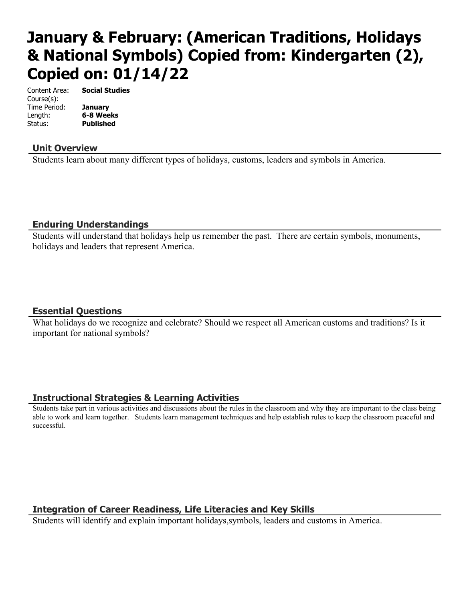# **January & February: (American Traditions, Holidays & National Symbols) Copied from: Kindergarten (2), Copied on: 01/14/22**

Content Area: **Social Studies** Course(s): Time Period: **January** Length: **6-8 Weeks** Status: **Published**

**Unit Overview**

Students learn about many different types of holidays, customs, leaders and symbols in America.

### **Enduring Understandings**

Students will understand that holidays help us remember the past. There are certain symbols, monuments, holidays and leaders that represent America.

### **Essential Questions**

What holidays do we recognize and celebrate? Should we respect all American customs and traditions? Is it important for national symbols?

## **Instructional Strategies & Learning Activities**

Students take part in various activities and discussions about the rules in the classroom and why they are important to the class being able to work and learn together. Students learn management techniques and help establish rules to keep the classroom peaceful and successful.

## **Integration of Career Readiness, Life Literacies and Key Skills**

Students will identify and explain important holidays,symbols, leaders and customs in America.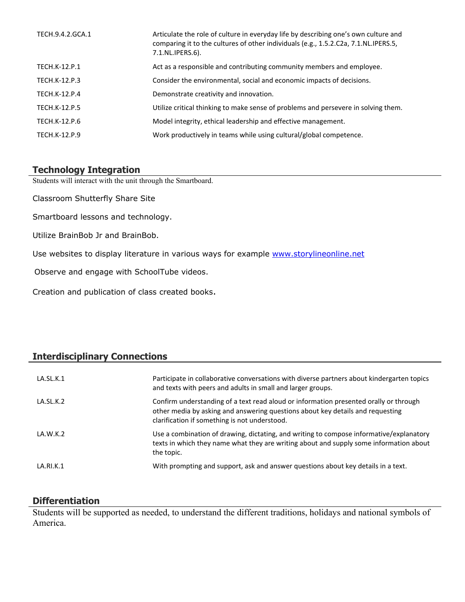| TECH.9.4.2.GCA.1     | Articulate the role of culture in everyday life by describing one's own culture and<br>comparing it to the cultures of other individuals (e.g., 1.5.2.C2a, 7.1.NL.IPERS.5,<br>7.1.NL.IPERS.6). |
|----------------------|------------------------------------------------------------------------------------------------------------------------------------------------------------------------------------------------|
| TECH.K-12.P.1        | Act as a responsible and contributing community members and employee.                                                                                                                          |
| TECH.K-12.P.3        | Consider the environmental, social and economic impacts of decisions.                                                                                                                          |
| TECH.K-12.P.4        | Demonstrate creativity and innovation.                                                                                                                                                         |
| <b>TECH.K-12.P.5</b> | Utilize critical thinking to make sense of problems and persevere in solving them.                                                                                                             |
| TECH.K-12.P.6        | Model integrity, ethical leadership and effective management.                                                                                                                                  |
| TECH.K-12.P.9        | Work productively in teams while using cultural/global competence.                                                                                                                             |

## **Technology Integration**

Students will interact with the unit through the Smartboard.

Classroom Shutterfly Share Site

Smartboard lessons and technology.

Utilize BrainBob Jr and BrainBob.

Use websites to display literature in various ways for example [www.storylineonline.net](http://www.storylineonline.net/)

Observe and engage with SchoolTube videos.

Creation and publication of class created books.

## **Interdisciplinary Connections**

| LA.SL.K.1 | Participate in collaborative conversations with diverse partners about kindergarten topics<br>and texts with peers and adults in small and larger groups.                                                                |
|-----------|--------------------------------------------------------------------------------------------------------------------------------------------------------------------------------------------------------------------------|
| LA.SL.K.2 | Confirm understanding of a text read aloud or information presented orally or through<br>other media by asking and answering questions about key details and requesting<br>clarification if something is not understood. |
| LA.W.K.2  | Use a combination of drawing, dictating, and writing to compose informative/explanatory<br>texts in which they name what they are writing about and supply some information about<br>the topic.                          |
| LA.RI.K.1 | With prompting and support, ask and answer questions about key details in a text.                                                                                                                                        |

## **Differentiation**

Students will be supported as needed, to understand the different traditions, holidays and national symbols of America.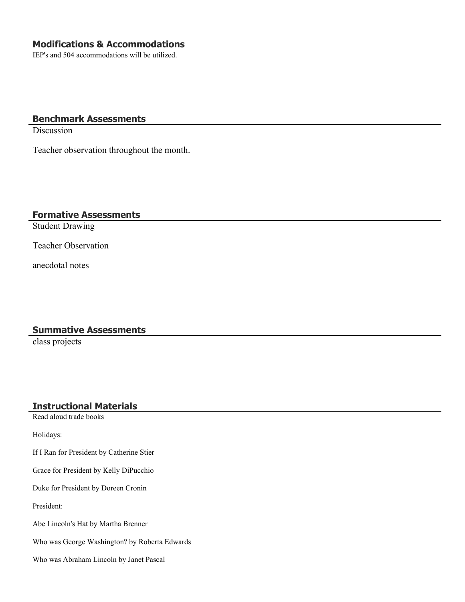IEP's and 504 accommodations will be utilized.

### **Benchmark Assessments**

Discussion

Teacher observation throughout the month.

#### **Formative Assessments**

Student Drawing

Teacher Observation

anecdotal notes

#### **Summative Assessments**

class projects

#### **Instructional Materials**

Read aloud trade books

Holidays:

If I Ran for President by Catherine Stier

Grace for President by Kelly DiPucchio

Duke for President by Doreen Cronin

President:

Abe Lincoln's Hat by Martha Brenner

Who was George Washington? by Roberta Edwards

Who was Abraham Lincoln by Janet Pascal